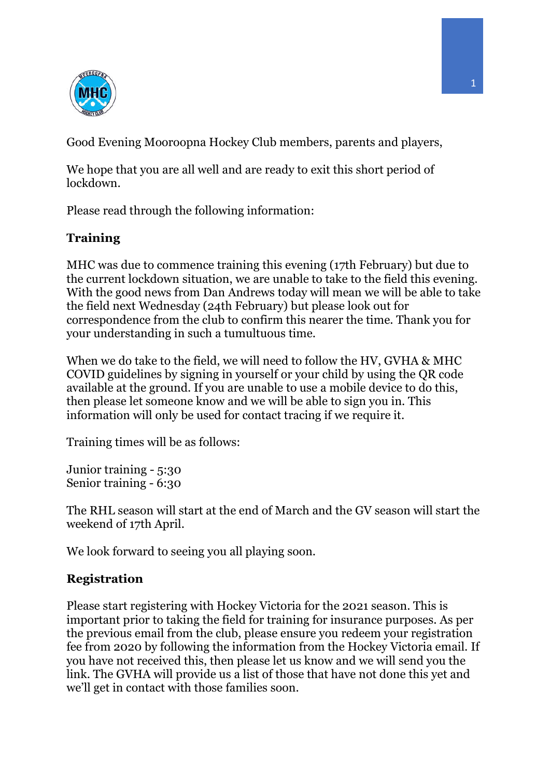

Good Evening Mooroopna Hockey Club members, parents and players,

We hope that you are all well and are ready to exit this short period of lockdown.

Please read through the following information:

## **Training**

MHC was due to commence training this evening (17th February) but due to the current lockdown situation, we are unable to take to the field this evening. With the good news from Dan Andrews today will mean we will be able to take the field next Wednesday (24th February) but please look out for correspondence from the club to confirm this nearer the time. Thank you for your understanding in such a tumultuous time.

When we do take to the field, we will need to follow the HV, GVHA & MHC COVID guidelines by signing in yourself or your child by using the QR code available at the ground. If you are unable to use a mobile device to do this, then please let someone know and we will be able to sign you in. This information will only be used for contact tracing if we require it.

Training times will be as follows:

Junior training - 5:30 Senior training - 6:30

The RHL season will start at the end of March and the GV season will start the weekend of 17th April.

We look forward to seeing you all playing soon.

## **Registration**

Please start registering with Hockey Victoria for the 2021 season. This is important prior to taking the field for training for insurance purposes. As per the previous email from the club, please ensure you redeem your registration fee from 2020 by following the information from the Hockey Victoria email. If you have not received this, then please let us know and we will send you the link. The GVHA will provide us a list of those that have not done this yet and we'll get in contact with those families soon.